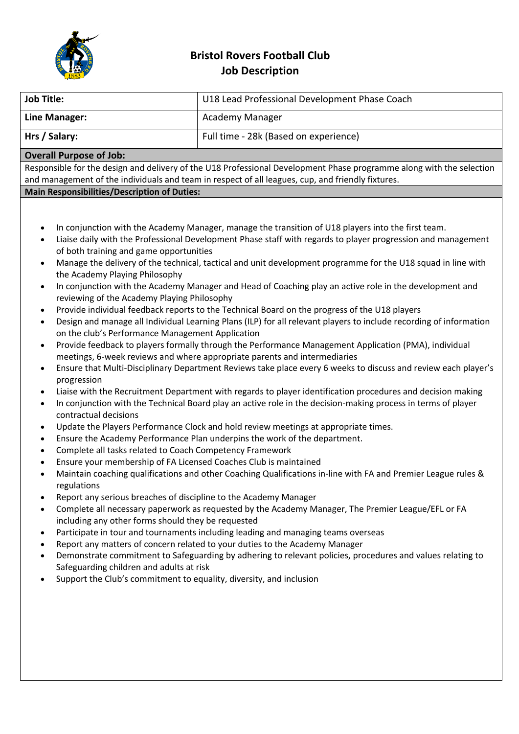

## **Bristol Rovers Football Club Job Description**

| <b>Job Title:</b>                                                                                                    | U18 Lead Professional Development Phase Coach |  |
|----------------------------------------------------------------------------------------------------------------------|-----------------------------------------------|--|
| Line Manager:                                                                                                        | Academy Manager                               |  |
| Hrs / Salary:                                                                                                        | Full time - 28k (Based on experience)         |  |
| <b>Overall Purpose of Job:</b>                                                                                       |                                               |  |
| Responsible for the design and delivery of the U18 Professional Development Phase programme along with the selection |                                               |  |
| and management of the individuals and team in respect of all leagues, cup, and friendly fixtures.                    |                                               |  |
| <b>Main Responsibilities/Description of Duties:</b>                                                                  |                                               |  |
|                                                                                                                      |                                               |  |

- In conjunction with the Academy Manager, manage the transition of U18 players into the first team.
- Liaise daily with the Professional Development Phase staff with regards to player progression and management of both training and game opportunities
- Manage the delivery of the technical, tactical and unit development programme for the U18 squad in line with the Academy Playing Philosophy
- In conjunction with the Academy Manager and Head of Coaching play an active role in the development and reviewing of the Academy Playing Philosophy
- Provide individual feedback reports to the Technical Board on the progress of the U18 players
- Design and manage all Individual Learning Plans (ILP) for all relevant players to include recording of information on the club's Performance Management Application
- Provide feedback to players formally through the Performance Management Application (PMA), individual meetings, 6-week reviews and where appropriate parents and intermediaries
- Ensure that Multi-Disciplinary Department Reviews take place every 6 weeks to discuss and review each player's progression
- Liaise with the Recruitment Department with regards to player identification procedures and decision making
- In conjunction with the Technical Board play an active role in the decision-making process in terms of player contractual decisions
- Update the Players Performance Clock and hold review meetings at appropriate times.
- Ensure the Academy Performance Plan underpins the work of the department.
- Complete all tasks related to Coach Competency Framework
- Ensure your membership of FA Licensed Coaches Club is maintained
- Maintain coaching qualifications and other Coaching Qualifications in-line with FA and Premier League rules & regulations
- Report any serious breaches of discipline to the Academy Manager
- Complete all necessary paperwork as requested by the Academy Manager, The Premier League/EFL or FA including any other forms should they be requested
- Participate in tour and tournaments including leading and managing teams overseas
- Report any matters of concern related to your duties to the Academy Manager
- Demonstrate commitment to Safeguarding by adhering to relevant policies, procedures and values relating to Safeguarding children and adults at risk
- Support the Club's commitment to equality, diversity, and inclusion